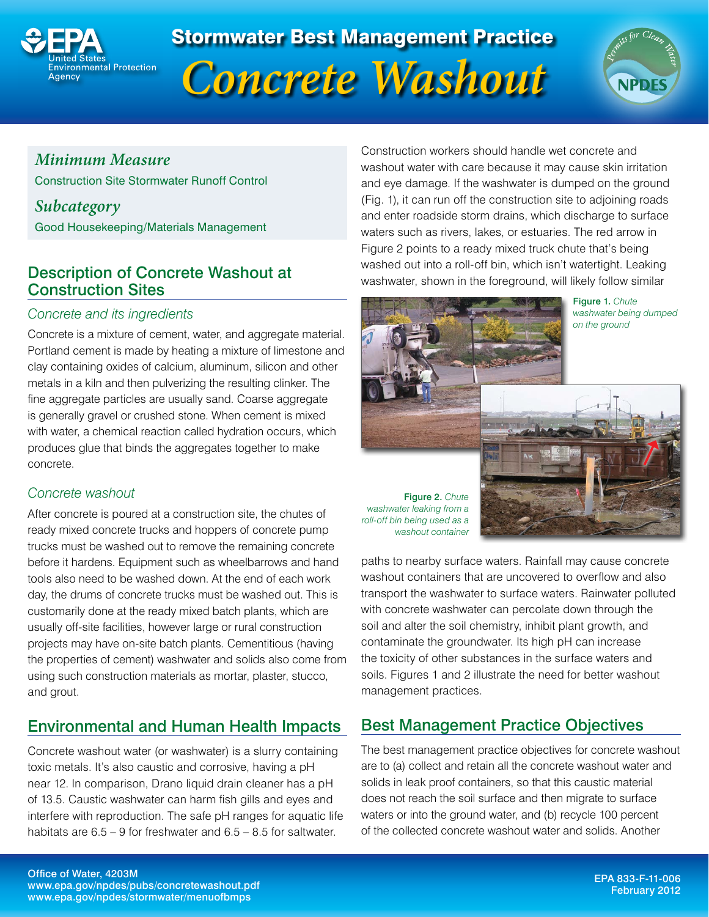

# Stormwater Best Management Practice





## *Minimum Measure*

Construction Site Stormwater Runoff Control

*Subcategory*

Good Housekeeping/Materials Management

## Description of Concrete Washout at Construction Sites

#### *Concrete and its ingredients*

Concrete is a mixture of cement, water, and aggregate material. Portland cement is made by heating a mixture of limestone and clay containing oxides of calcium, aluminum, silicon and other metals in a kiln and then pulverizing the resulting clinker. The fine aggregate particles are usually sand. Coarse aggregate is generally gravel or crushed stone. When cement is mixed with water, a chemical reaction called hydration occurs, which produces glue that binds the aggregates together to make concrete.

### *Concrete washout*

After concrete is poured at a construction site, the chutes of ready mixed concrete trucks and hoppers of concrete pump trucks must be washed out to remove the remaining concrete before it hardens. Equipment such as wheelbarrows and hand tools also need to be washed down. At the end of each work day, the drums of concrete trucks must be washed out. This is customarily done at the ready mixed batch plants, which are usually off-site facilities, however large or rural construction projects may have on-site batch plants. Cementitious (having the properties of cement) washwater and solids also come from using such construction materials as mortar, plaster, stucco, and grout.

## Environmental and Human Health Impacts

Concrete washout water (or washwater) is a slurry containing toxic metals. It's also caustic and corrosive, having a pH near 12. In comparison, Drano liquid drain cleaner has a pH of 13.5. Caustic washwater can harm fish gills and eyes and interfere with reproduction. The safe pH ranges for aquatic life habitats are 6.5 – 9 for freshwater and 6.5 – 8.5 for saltwater.

Construction workers should handle wet concrete and washout water with care because it may cause skin irritation and eye damage. If the washwater is dumped on the ground (Fig. 1), it can run off the construction site to adjoining roads and enter roadside storm drains, which discharge to surface waters such as rivers, lakes, or estuaries. The red arrow in Figure 2 points to a ready mixed truck chute that's being washed out into a roll-off bin, which isn't watertight. Leaking washwater, shown in the foreground, will likely follow similar



Figure 1. *Chute washwater being dumped on the ground*

Figure 2. *Chute washwater leaking from a roll-off bin being used as a washout container*



paths to nearby surface waters. Rainfall may cause concrete washout containers that are uncovered to overflow and also transport the washwater to surface waters. Rainwater polluted with concrete washwater can percolate down through the soil and alter the soil chemistry, inhibit plant growth, and contaminate the groundwater. Its high pH can increase the toxicity of other substances in the surface waters and soils. Figures 1 and 2 illustrate the need for better washout management practices.

## Best Management Practice Objectives

The best management practice objectives for concrete washout are to (a) collect and retain all the concrete washout water and solids in leak proof containers, so that this caustic material does not reach the soil surface and then migrate to surface waters or into the ground water, and (b) recycle 100 percent of the collected concrete washout water and solids. Another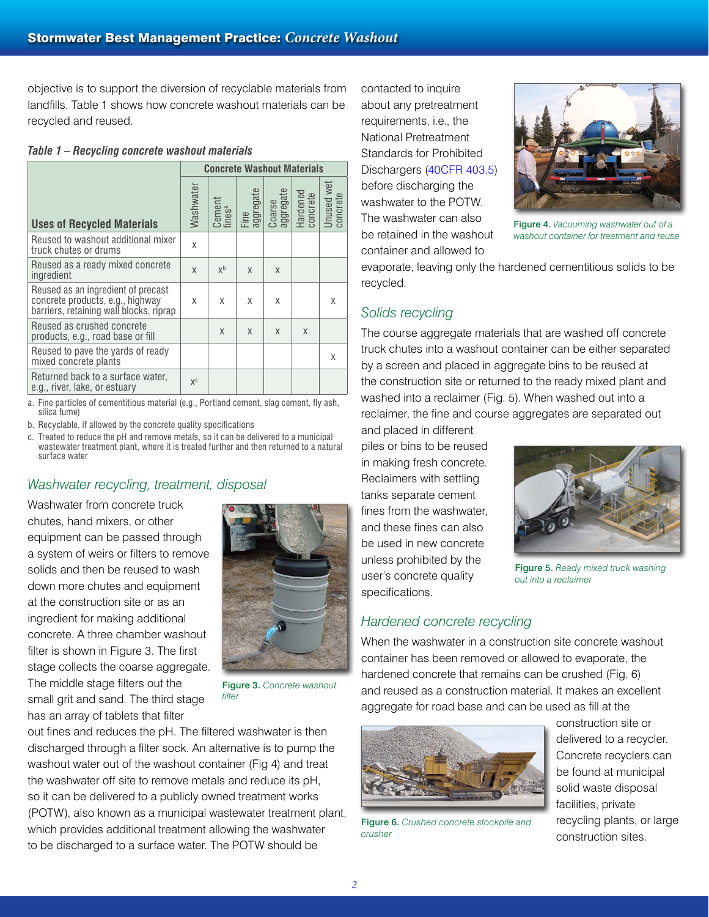objective is to support the diversion of recyclable materials from landfills. Table 1 shows how concrete washout materials can be recycled and reused.

|  |  | Table 1 – Recycling concrete washout materials |  |  |  |
|--|--|------------------------------------------------|--|--|--|
|--|--|------------------------------------------------|--|--|--|

|                                                                                                                   | <b>Concrete Washout Materials</b> |                  |                   |                     |                      |                        |  |
|-------------------------------------------------------------------------------------------------------------------|-----------------------------------|------------------|-------------------|---------------------|----------------------|------------------------|--|
| <b>Uses of Recycled Materials</b>                                                                                 | Washwater                         | Cement<br>finesª | Fine<br>aggregate | Coarse<br>aggregate | Hardened<br>concrete | Unused wet<br>concrete |  |
| Reused to washout additional mixer<br>truck chutes or drums                                                       | X                                 |                  |                   |                     |                      |                        |  |
| Reused as a ready mixed concrete<br>ingredient                                                                    | $\mathsf{x}$                      | $X^b$            | X                 | X                   |                      |                        |  |
| Reused as an ingredient of precast<br>concrete products, e.g., highway<br>barriers, retaining wall blocks, riprap | X                                 | X                | X                 | X                   |                      | X                      |  |
| Reused as crushed concrete<br>products, e.g., road base or fill                                                   |                                   | X                | X                 | X                   | X                    |                        |  |
| Reused to pave the yards of ready<br>mixed concrete plants                                                        |                                   |                  |                   |                     |                      | X                      |  |
| Returned back to a surface water,<br>e.g., river, lake, or estuary                                                | $X^C$                             |                  |                   |                     |                      |                        |  |

a. Fine particles of cementitious material (e.g., Portland cement, slag cement, fly ash, silica fume)

b. Recyclable, if allowed by the concrete quality specifications

c. Treated to reduce the pH and remove metals, so it can be delivered to a municipal wastewater treatment plant, where it is treated further and then returned to a natural surface water

#### *Washwater recycling, treatment, disposal*

Washwater from concrete truck chutes, hand mixers, or other equipment can be passed through a system of weirs or filters to remove solids and then be reused to wash down more chutes and equipment at the construction site or as an ingredient for making additional concrete. A three chamber washout filter is shown in Figure 3. The first stage collects the coarse aggregate. The middle stage filters out the small grit and sand. The third stage has an array of tablets that filter



Figure 3. *Concrete washout filter*

out fines and reduces the pH. The filtered washwater is then discharged through a filter sock. An alternative is to pump the washout water out of the washout container (Fig 4) and treat the washwater off site to remove metals and reduce its pH, so it can be delivered to a publicly owned treatment works (POTW), also known as a municipal wastewater treatment plant, which provides additional treatment allowing the washwater to be discharged to a surface water. The POTW should be

contacted to inquire about any pretreatment requirements, i.e., the National Pretreatment Standards for Prohibited Dischargers [\(40CFR 403.5\)](http://ecfr.gpoaccess.gov/cgi/t/text/text-idx?c=ecfr&sid=39d6f30b6575ba86ef08a73b625b277e&rgn=div8&view=text&node=40:29.0.1.1.4.0.1.5&idno=40http://ecfr.gpoaccess.gov/cgi/t/text/text-idx?c=ecfr&sid=39d6f30b6575ba86ef08a73b625b277e&rgn=div8&view=text&node=40:29.0.1.1.4.0.1.5&idno=40) before discharging the washwater to the POTW. The washwater can also be retained in the washout container and allowed to



Figure 4. *Vacuuming washwater out of a washout container for treatment and reuse*

evaporate, leaving only the hardened cementitious solids to be recycled.

### *Solids recycling*

The course aggregate materials that are washed off concrete truck chutes into a washout container can be either separated by a screen and placed in aggregate bins to be reused at the construction site or returned to the ready mixed plant and washed into a reclaimer (Fig. 5). When washed out into a reclaimer, the fine and course aggregates are separated out

and placed in different piles or bins to be reused in making fresh concrete. Reclaimers with settling tanks separate cement fines from the washwater, and these fines can also be used in new concrete unless prohibited by the user's concrete quality specifications.



Figure 5. *Ready mixed truck washing out into a reclaimer*

#### *Hardened concrete recycling*

When the washwater in a construction site concrete washout container has been removed or allowed to evaporate, the hardened concrete that remains can be crushed (Fig. 6) and reused as a construction material. It makes an excellent aggregate for road base and can be used as fill at the



Figure 6. *Crushed concrete stockpile and crusher*

construction site or delivered to a recycler. Concrete recyclers can be found at municipal solid waste disposal facilities, private recycling plants, or large construction sites.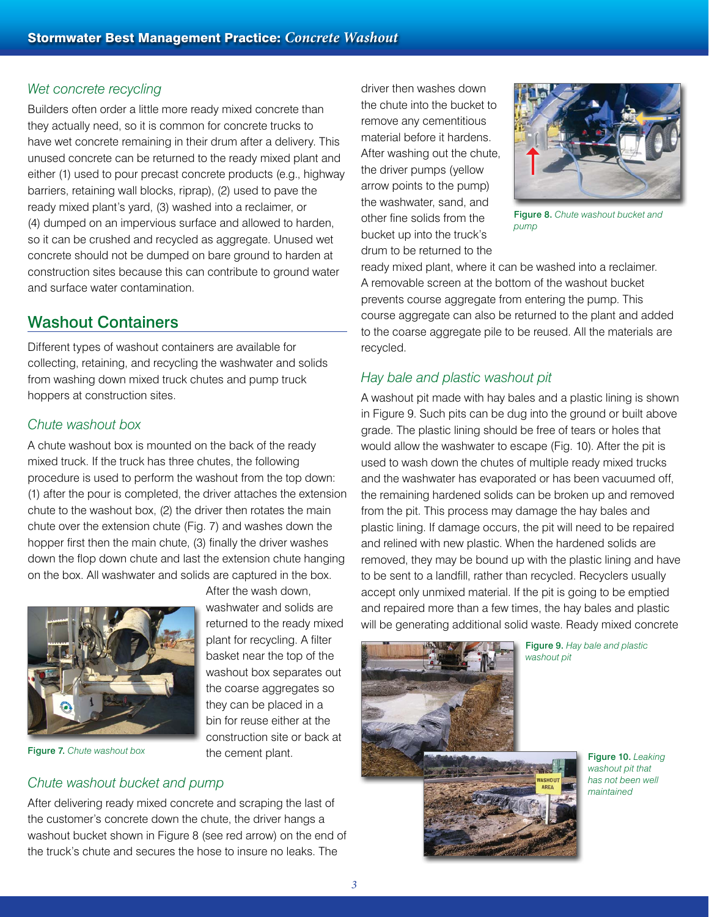#### *Wet concrete recycling*

Builders often order a little more ready mixed concrete than they actually need, so it is common for concrete trucks to have wet concrete remaining in their drum after a delivery. This unused concrete can be returned to the ready mixed plant and either (1) used to pour precast concrete products (e.g., highway barriers, retaining wall blocks, riprap), (2) used to pave the ready mixed plant's yard, (3) washed into a reclaimer, or (4) dumped on an impervious surface and allowed to harden, so it can be crushed and recycled as aggregate. Unused wet concrete should not be dumped on bare ground to harden at construction sites because this can contribute to ground water and surface water contamination.

### Washout Containers

Different types of washout containers are available for collecting, retaining, and recycling the washwater and solids from washing down mixed truck chutes and pump truck hoppers at construction sites.

#### *Chute washout box*

A chute washout box is mounted on the back of the ready mixed truck. If the truck has three chutes, the following procedure is used to perform the washout from the top down: (1) after the pour is completed, the driver attaches the extension chute to the washout box, (2) the driver then rotates the main chute over the extension chute (Fig. 7) and washes down the hopper first then the main chute, (3) finally the driver washes down the flop down chute and last the extension chute hanging on the box. All washwater and solids are captured in the box.

After the wash down,

the cement plant.



Figure 7. *Chute washout box*

#### *Chute washout bucket and pump*

After delivering ready mixed concrete and scraping the last of the customer's concrete down the chute, the driver hangs a washout bucket shown in Figure 8 (see red arrow) on the end of the truck's chute and secures the hose to insure no leaks. The

driver then washes down the chute into the bucket to remove any cementitious material before it hardens. After washing out the chute, the driver pumps (yellow arrow points to the pump) the washwater, sand, and other fine solids from the bucket up into the truck's drum to be returned to the



Figure 8. *Chute washout bucket and pump*

ready mixed plant, where it can be washed into a reclaimer. A removable screen at the bottom of the washout bucket prevents course aggregate from entering the pump. This course aggregate can also be returned to the plant and added to the coarse aggregate pile to be reused. All the materials are recycled.

#### *Hay bale and plastic washout pit*

A washout pit made with hay bales and a plastic lining is shown in Figure 9. Such pits can be dug into the ground or built above grade. The plastic lining should be free of tears or holes that would allow the washwater to escape (Fig. 10). After the pit is used to wash down the chutes of multiple ready mixed trucks and the washwater has evaporated or has been vacuumed off, the remaining hardened solids can be broken up and removed from the pit. This process may damage the hay bales and plastic lining. If damage occurs, the pit will need to be repaired and relined with new plastic. When the hardened solids are removed, they may be bound up with the plastic lining and have to be sent to a landfill, rather than recycled. Recyclers usually accept only unmixed material. If the pit is going to be emptied and repaired more than a few times, the hay bales and plastic will be generating additional solid waste. Ready mixed concrete



Figure 9. *Hay bale and plastic washout pit*

Figure 10. *Leaking washout pit that has not been well maintained*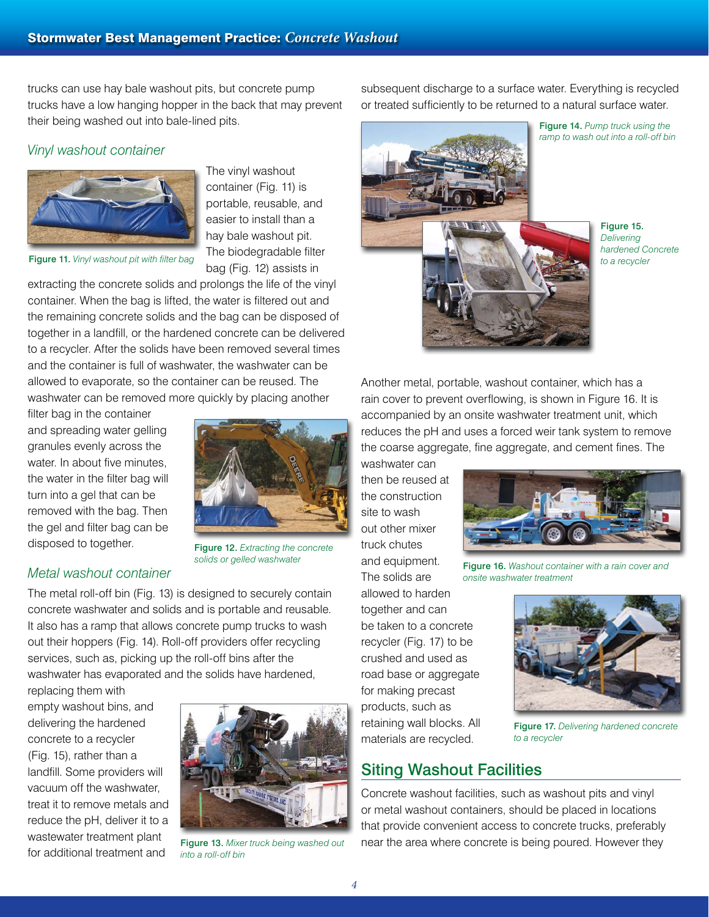trucks can use hay bale washout pits, but concrete pump trucks have a low hanging hopper in the back that may prevent their being washed out into bale-lined pits.

#### *Vinyl washout container*



Figure 11. *Vinyl washout pit with filter bag*

The vinyl washout container (Fig. 11) is portable, reusable, and easier to install than a hay bale washout pit. The biodegradable filter bag (Fig. 12) assists in

extracting the concrete solids and prolongs the life of the vinyl container. When the bag is lifted, the water is filtered out and the remaining concrete solids and the bag can be disposed of together in a landfill, or the hardened concrete can be delivered to a recycler. After the solids have been removed several times and the container is full of washwater, the washwater can be allowed to evaporate, so the container can be reused. The washwater can be removed more quickly by placing another

filter bag in the container and spreading water gelling granules evenly across the water. In about five minutes, the water in the filter bag will turn into a gel that can be removed with the bag. Then the gel and filter bag can be disposed to together.

*Metal washout container*



Figure 12. *Extracting the concrete solids or gelled washwater*

The metal roll-off bin (Fig. 13) is designed to securely contain concrete washwater and solids and is portable and reusable. It also has a ramp that allows concrete pump trucks to wash out their hoppers (Fig. 14). Roll-off providers offer recycling services, such as, picking up the roll-off bins after the washwater has evaporated and the solids have hardened,

replacing them with empty washout bins, and delivering the hardened concrete to a recycler (Fig. 15), rather than a landfill. Some providers will vacuum off the washwater, treat it to remove metals and reduce the pH, deliver it to a wastewater treatment plant for additional treatment and



*into a roll-off bin*

subsequent discharge to a surface water. Everything is recycled or treated sufficiently to be returned to a natural surface water.



Figure 15. *Delivering hardened Concrete to a recycler*

Another metal, portable, washout container, which has a rain cover to prevent overflowing, is shown in Figure 16. It is accompanied by an onsite washwater treatment unit, which reduces the pH and uses a forced weir tank system to remove the coarse aggregate, fine aggregate, and cement fines. The

washwater can then be reused at the construction site to wash out other mixer truck chutes and equipment. The solids are allowed to harden together and can



Figure 16. *Washout container with a rain cover and onsite washwater treatment*

be taken to a concrete recycler (Fig. 17) to be crushed and used as road base or aggregate for making precast products, such as retaining wall blocks. All materials are recycled.



Figure 17. *Delivering hardened concrete to a recycler*

## Siting Washout Facilities

Concrete washout facilities, such as washout pits and vinyl or metal washout containers, should be placed in locations that provide convenient access to concrete trucks, preferably Figure 13. *Mixer truck being washed out* near the area where concrete is being poured. However they